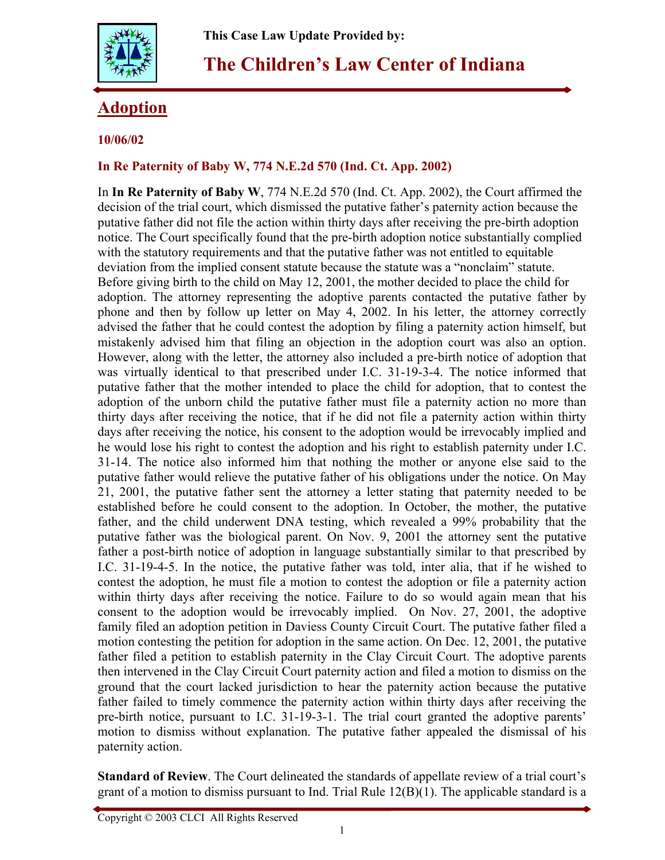

# **The Children's Law Center of Indiana**

## **Adoption**

### **10/06/02**

#### **In Re Paternity of Baby W, 774 N.E.2d 570 (Ind. Ct. App. 2002)**

In **In Re Paternity of Baby W**, 774 N.E.2d 570 (Ind. Ct. App. 2002), the Court affirmed the decision of the trial court, which dismissed the putative father's paternity action because the putative father did not file the action within thirty days after receiving the pre-birth adoption notice. The Court specifically found that the pre-birth adoption notice substantially complied with the statutory requirements and that the putative father was not entitled to equitable deviation from the implied consent statute because the statute was a "nonclaim" statute. Before giving birth to the child on May 12, 2001, the mother decided to place the child for adoption. The attorney representing the adoptive parents contacted the putative father by phone and then by follow up letter on May 4, 2002. In his letter, the attorney correctly advised the father that he could contest the adoption by filing a paternity action himself, but mistakenly advised him that filing an objection in the adoption court was also an option. However, along with the letter, the attorney also included a pre-birth notice of adoption that was virtually identical to that prescribed under I.C. 31-19-3-4. The notice informed that putative father that the mother intended to place the child for adoption, that to contest the adoption of the unborn child the putative father must file a paternity action no more than thirty days after receiving the notice, that if he did not file a paternity action within thirty days after receiving the notice, his consent to the adoption would be irrevocably implied and he would lose his right to contest the adoption and his right to establish paternity under I.C. 31-14. The notice also informed him that nothing the mother or anyone else said to the putative father would relieve the putative father of his obligations under the notice. On May 21, 2001, the putative father sent the attorney a letter stating that paternity needed to be established before he could consent to the adoption. In October, the mother, the putative father, and the child underwent DNA testing, which revealed a 99% probability that the putative father was the biological parent. On Nov. 9, 2001 the attorney sent the putative father a post-birth notice of adoption in language substantially similar to that prescribed by I.C. 31-19-4-5. In the notice, the putative father was told, inter alia, that if he wished to contest the adoption, he must file a motion to contest the adoption or file a paternity action within thirty days after receiving the notice. Failure to do so would again mean that his consent to the adoption would be irrevocably implied. On Nov. 27, 2001, the adoptive family filed an adoption petition in Daviess County Circuit Court. The putative father filed a motion contesting the petition for adoption in the same action. On Dec. 12, 2001, the putative father filed a petition to establish paternity in the Clay Circuit Court. The adoptive parents then intervened in the Clay Circuit Court paternity action and filed a motion to dismiss on the ground that the court lacked jurisdiction to hear the paternity action because the putative father failed to timely commence the paternity action within thirty days after receiving the pre-birth notice, pursuant to I.C. 31-19-3-1. The trial court granted the adoptive parents' motion to dismiss without explanation. The putative father appealed the dismissal of his paternity action.

**Standard of Review**. The Court delineated the standards of appellate review of a trial court's grant of a motion to dismiss pursuant to Ind. Trial Rule 12(B)(1). The applicable standard is a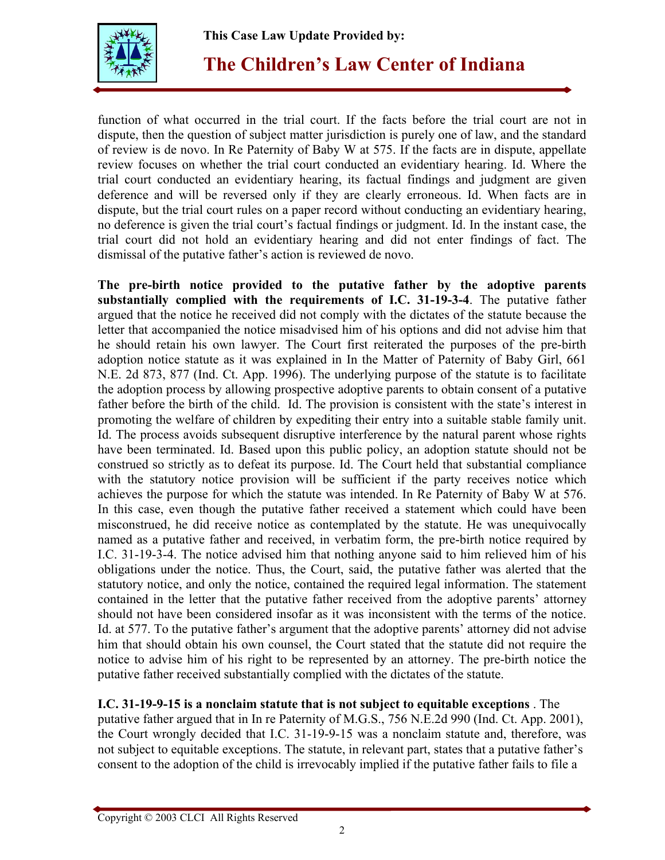**This Case Law Update Provided by:** 



**The Children's Law Center of Indiana**

function of what occurred in the trial court. If the facts before the trial court are not in dispute, then the question of subject matter jurisdiction is purely one of law, and the standard of review is de novo. In Re Paternity of Baby W at 575. If the facts are in dispute, appellate review focuses on whether the trial court conducted an evidentiary hearing. Id. Where the trial court conducted an evidentiary hearing, its factual findings and judgment are given deference and will be reversed only if they are clearly erroneous. Id. When facts are in dispute, but the trial court rules on a paper record without conducting an evidentiary hearing, no deference is given the trial court's factual findings or judgment. Id. In the instant case, the trial court did not hold an evidentiary hearing and did not enter findings of fact. The dismissal of the putative father's action is reviewed de novo.

**The pre-birth notice provided to the putative father by the adoptive parents substantially complied with the requirements of I.C. 31-19-3-4**. The putative father argued that the notice he received did not comply with the dictates of the statute because the letter that accompanied the notice misadvised him of his options and did not advise him that he should retain his own lawyer. The Court first reiterated the purposes of the pre-birth adoption notice statute as it was explained in In the Matter of Paternity of Baby Girl, 661 N.E. 2d 873, 877 (Ind. Ct. App. 1996). The underlying purpose of the statute is to facilitate the adoption process by allowing prospective adoptive parents to obtain consent of a putative father before the birth of the child. Id. The provision is consistent with the state's interest in promoting the welfare of children by expediting their entry into a suitable stable family unit. Id. The process avoids subsequent disruptive interference by the natural parent whose rights have been terminated. Id. Based upon this public policy, an adoption statute should not be construed so strictly as to defeat its purpose. Id. The Court held that substantial compliance with the statutory notice provision will be sufficient if the party receives notice which achieves the purpose for which the statute was intended. In Re Paternity of Baby W at 576. In this case, even though the putative father received a statement which could have been misconstrued, he did receive notice as contemplated by the statute. He was unequivocally named as a putative father and received, in verbatim form, the pre-birth notice required by I.C. 31-19-3-4. The notice advised him that nothing anyone said to him relieved him of his obligations under the notice. Thus, the Court, said, the putative father was alerted that the statutory notice, and only the notice, contained the required legal information. The statement contained in the letter that the putative father received from the adoptive parents' attorney should not have been considered insofar as it was inconsistent with the terms of the notice. Id. at 577. To the putative father's argument that the adoptive parents' attorney did not advise him that should obtain his own counsel, the Court stated that the statute did not require the notice to advise him of his right to be represented by an attorney. The pre-birth notice the putative father received substantially complied with the dictates of the statute.

**I.C. 31-19-9-15 is a nonclaim statute that is not subject to equitable exceptions** . The putative father argued that in In re Paternity of M.G.S., 756 N.E.2d 990 (Ind. Ct. App. 2001), the Court wrongly decided that I.C. 31-19-9-15 was a nonclaim statute and, therefore, was not subject to equitable exceptions. The statute, in relevant part, states that a putative father's consent to the adoption of the child is irrevocably implied if the putative father fails to file a